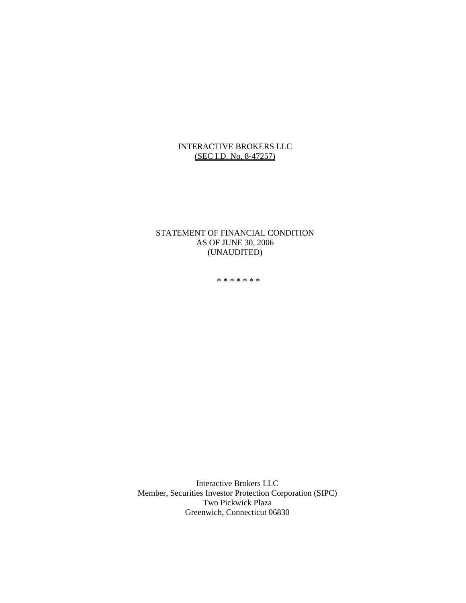## INTERACTIVE BROKERS LLC (SEC I.D. No. 8-47257)

## STATEMENT OF FINANCIAL CONDITION AS OF JUNE 30, 2006 (UNAUDITED)

\*\*\*\*\*\*\*

Interactive Brokers LLC Member, Securities Investor Protection Corporation (SIPC) Two Pickwick Plaza Greenwich, Connecticut 06830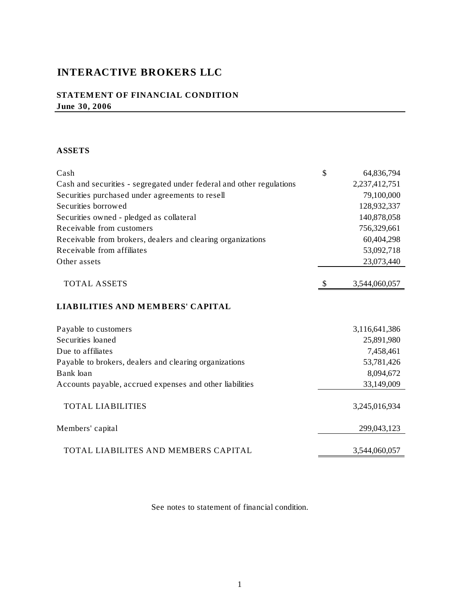# **INTERACTIVE BROKERS LLC**

# **STATEMENT OF FINANCIAL CONDITION June 30, 2006**

## **ASSETS**

| Cash                                                                 | \$           | 64,836,794    |
|----------------------------------------------------------------------|--------------|---------------|
| Cash and securities - segregated under federal and other regulations |              | 2,237,412,751 |
| Securities purchased under agreements to resell                      |              | 79,100,000    |
| Securities borrowed                                                  |              | 128,932,337   |
| Securities owned - pledged as collateral                             |              | 140,878,058   |
| Receivable from customers                                            |              | 756,329,661   |
| Receivable from brokers, dealers and clearing organizations          |              | 60,404,298    |
| Receivable from affiliates                                           |              | 53,092,718    |
| Other assets                                                         |              | 23,073,440    |
| <b>TOTAL ASSETS</b>                                                  | $\mathbb{S}$ | 3,544,060,057 |
| <b>LIABILITIES AND MEMBERS' CAPITAL</b>                              |              |               |
| Payable to customers                                                 |              | 3,116,641,386 |
| Securities loaned                                                    |              | 25,891,980    |
| Due to affiliates                                                    |              | 7,458,461     |
| Payable to brokers, dealers and clearing organizations               |              | 53,781,426    |
| Bank loan                                                            |              | 8,094,672     |
| Accounts payable, accrued expenses and other liabilities             |              | 33,149,009    |
| <b>TOTAL LIABILITIES</b>                                             |              | 3,245,016,934 |
| Members' capital                                                     |              | 299,043,123   |
| TOTAL LIABILITES AND MEMBERS CAPITAL                                 |              | 3,544,060,057 |

See notes to statement of financial condition.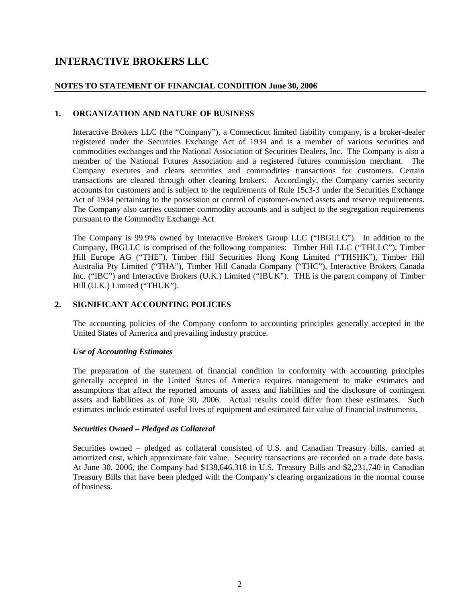# **INTERACTIVE BROKERS LLC**

## **NOTES TO STATEMENT OF FINANCIAL CONDITION June 30, 2006**

## **1. ORGANIZATION AND NATURE OF BUSINESS**

Interactive Brokers LLC (the "Company"), a Connecticut limited liability company, is a broker-dealer registered under the Securities Exchange Act of 1934 and is a member of various securities and commodities exchanges and the National Association of Securities Dealers, Inc. The Company is also a member of the National Futures Association and a registered futures commission merchant. The Company executes and clears securities and commodities transactions for customers. Certain transactions are cleared through other clearing brokers. Accordingly, the Company carries security accounts for customers and is subject to the requirements of Rule 15c3-3 under the Securities Exchange Act of 1934 pertaining to the possession or control of customer-owned assets and reserve requirements. The Company also carries customer commodity accounts and is subject to the segregation requirements pursuant to the Commodity Exchange Act.

The Company is 99.9% owned by Interactive Brokers Group LLC ("IBGLLC"). In addition to the Company, IBGLLC is comprised of the following companies: Timber Hill LLC ("THLLC"), Timber Hill Europe AG ("THE"), Timber Hill Securities Hong Kong Limited ("THSHK"), Timber Hill Australia Pty Limited ("THA"), Timber Hill Canada Company ("THC"), Interactive Brokers Canada Inc. ("IBC") and Interactive Brokers (U.K.) Limited ("IBUK"). THE is the parent company of Timber Hill (U.K.) Limited ("THUK").

### **2. SIGNIFICANT ACCOUNTING POLICIES**

The accounting policies of the Company conform to accounting principles generally accepted in the United States of America and prevailing industry practice.

### *Use of Accounting Estimates*

The preparation of the statement of financial condition in conformity with accounting principles generally accepted in the United States of America requires management to make estimates and assumptions that affect the reported amounts of assets and liabilities and the disclosure of contingent assets and liabilities as of June 30, 2006. Actual results could differ from these estimates. Such estimates include estimated useful lives of equipment and estimated fair value of financial instruments.

#### *Securities Owned – Pledged as Collateral*

Securities owned – pledged as collateral consisted of U.S. and Canadian Treasury bills, carried at amortized cost, which approximate fair value. Security transactions are recorded on a trade date basis. At June 30, 2006, the Company had \$138,646,318 in U.S. Treasury Bills and \$2,231,740 in Canadian Treasury Bills that have been pledged with the Company's clearing organizations in the normal course of business.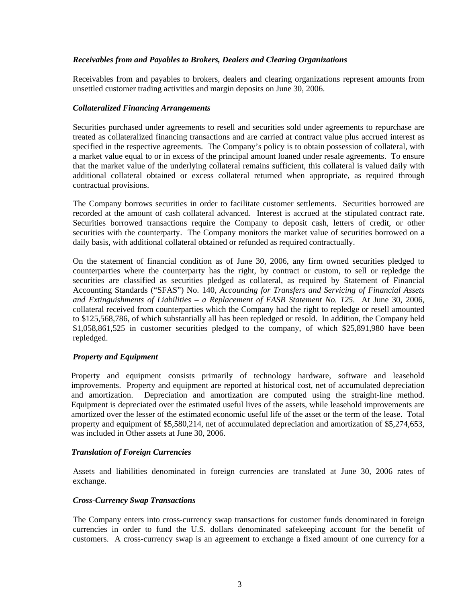#### *Receivables from and Payables to Brokers, Dealers and Clearing Organizations*

Receivables from and payables to brokers, dealers and clearing organizations represent amounts from unsettled customer trading activities and margin deposits on June 30, 2006.

#### *Collateralized Financing Arrangements*

Securities purchased under agreements to resell and securities sold under agreements to repurchase are treated as collateralized financing transactions and are carried at contract value plus accrued interest as specified in the respective agreements. The Company's policy is to obtain possession of collateral, with a market value equal to or in excess of the principal amount loaned under resale agreements. To ensure that the market value of the underlying collateral remains sufficient, this collateral is valued daily with additional collateral obtained or excess collateral returned when appropriate, as required through contractual provisions.

The Company borrows securities in order to facilitate customer settlements. Securities borrowed are recorded at the amount of cash collateral advanced. Interest is accrued at the stipulated contract rate. Securities borrowed transactions require the Company to deposit cash, letters of credit, or other securities with the counterparty. The Company monitors the market value of securities borrowed on a daily basis, with additional collateral obtained or refunded as required contractually.

On the statement of financial condition as of June 30, 2006, any firm owned securities pledged to counterparties where the counterparty has the right, by contract or custom, to sell or repledge the securities are classified as securities pledged as collateral, as required by Statement of Financial Accounting Standards ("SFAS") No. 140, *Accounting for Transfers and Servicing of Financial Assets and Extinguishments of Liabilities – a Replacement of FASB Statement No. 125.* At June 30, 2006, collateral received from counterparties which the Company had the right to repledge or resell amounted to \$125,568,786, of which substantially all has been repledged or resold. In addition, the Company held \$1,058,861,525 in customer securities pledged to the company, of which \$25,891,980 have been repledged.

### *Property and Equipment*

Property and equipment consists primarily of technology hardware, software and leasehold improvements. Property and equipment are reported at historical cost, net of accumulated depreciation and amortization. Depreciation and amortization are computed using the straight-line method. Equipment is depreciated over the estimated useful lives of the assets, while leasehold improvements are amortized over the lesser of the estimated economic useful life of the asset or the term of the lease. Total property and equipment of \$5,580,214, net of accumulated depreciation and amortization of \$5,274,653, was included in Other assets at June 30, 2006.

### *Translation of Foreign Currencies*

Assets and liabilities denominated in foreign currencies are translated at June 30, 2006 rates of exchange.

### *Cross-Currency Swap Transactions*

The Company enters into cross-currency swap transactions for customer funds denominated in foreign currencies in order to fund the U.S. dollars denominated safekeeping account for the benefit of customers. A cross-currency swap is an agreement to exchange a fixed amount of one currency for a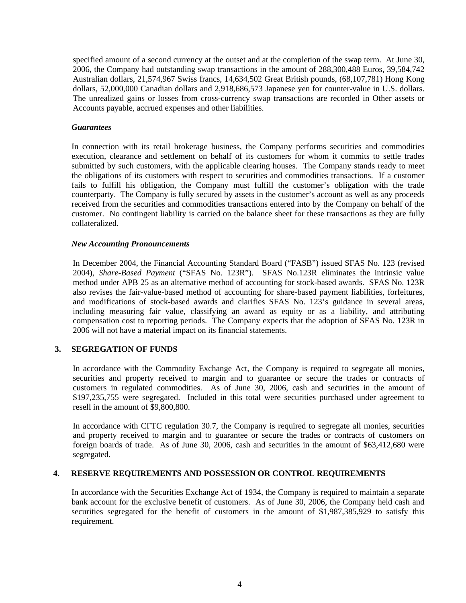specified amount of a second currency at the outset and at the completion of the swap term. At June 30, 2006, the Company had outstanding swap transactions in the amount of 288,300,488 Euros, 39,584,742 Australian dollars, 21,574,967 Swiss francs, 14,634,502 Great British pounds, (68,107,781) Hong Kong dollars, 52,000,000 Canadian dollars and 2,918,686,573 Japanese yen for counter-value in U.S. dollars. The unrealized gains or losses from cross-currency swap transactions are recorded in Other assets or Accounts payable, accrued expenses and other liabilities.

#### *Guarantees*

In connection with its retail brokerage business, the Company performs securities and commodities execution, clearance and settlement on behalf of its customers for whom it commits to settle trades submitted by such customers, with the applicable clearing houses. The Company stands ready to meet the obligations of its customers with respect to securities and commodities transactions. If a customer fails to fulfill his obligation, the Company must fulfill the customer's obligation with the trade counterparty. The Company is fully secured by assets in the customer's account as well as any proceeds received from the securities and commodities transactions entered into by the Company on behalf of the customer. No contingent liability is carried on the balance sheet for these transactions as they are fully collateralized.

#### *New Accounting Pronouncements*

In December 2004, the Financial Accounting Standard Board ("FASB") issued SFAS No. 123 (revised 2004), *Share-Based Payment* ("SFAS No. 123R"). SFAS No.123R eliminates the intrinsic value method under APB 25 as an alternative method of accounting for stock-based awards. SFAS No. 123R also revises the fair-value-based method of accounting for share-based payment liabilities, forfeitures, and modifications of stock-based awards and clarifies SFAS No. 123's guidance in several areas, including measuring fair value, classifying an award as equity or as a liability, and attributing compensation cost to reporting periods. The Company expects that the adoption of SFAS No. 123R in 2006 will not have a material impact on its financial statements.

### **3. SEGREGATION OF FUNDS**

In accordance with the Commodity Exchange Act, the Company is required to segregate all monies, securities and property received to margin and to guarantee or secure the trades or contracts of customers in regulated commodities. As of June 30, 2006, cash and securities in the amount of \$197,235,755 were segregated. Included in this total were securities purchased under agreement to resell in the amount of \$9,800,800.

In accordance with CFTC regulation 30.7, the Company is required to segregate all monies, securities and property received to margin and to guarantee or secure the trades or contracts of customers on foreign boards of trade. As of June 30, 2006, cash and securities in the amount of \$63,412,680 were segregated.

### **4. RESERVE REQUIREMENTS AND POSSESSION OR CONTROL REQUIREMENTS**

In accordance with the Securities Exchange Act of 1934, the Company is required to maintain a separate bank account for the exclusive benefit of customers. As of June 30, 2006, the Company held cash and securities segregated for the benefit of customers in the amount of \$1,987,385,929 to satisfy this requirement.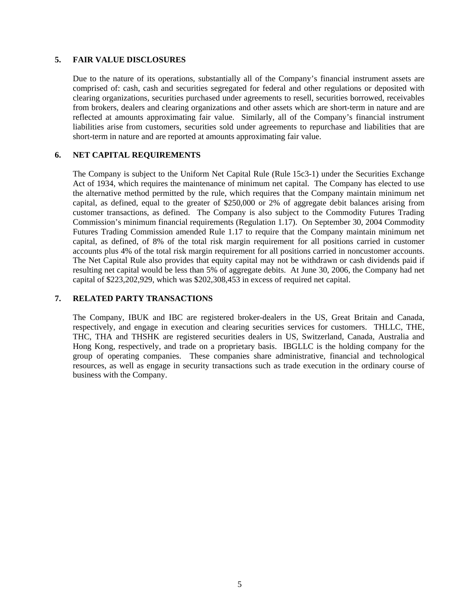#### **5. FAIR VALUE DISCLOSURES**

Due to the nature of its operations, substantially all of the Company's financial instrument assets are comprised of: cash, cash and securities segregated for federal and other regulations or deposited with clearing organizations, securities purchased under agreements to resell, securities borrowed, receivables from brokers, dealers and clearing organizations and other assets which are short-term in nature and are reflected at amounts approximating fair value. Similarly, all of the Company's financial instrument liabilities arise from customers, securities sold under agreements to repurchase and liabilities that are short-term in nature and are reported at amounts approximating fair value.

## **6. NET CAPITAL REQUIREMENTS**

The Company is subject to the Uniform Net Capital Rule (Rule 15c3-1) under the Securities Exchange Act of 1934, which requires the maintenance of minimum net capital. The Company has elected to use the alternative method permitted by the rule, which requires that the Company maintain minimum net capital, as defined, equal to the greater of \$250,000 or 2% of aggregate debit balances arising from customer transactions, as defined. The Company is also subject to the Commodity Futures Trading Commission's minimum financial requirements (Regulation 1.17). On September 30, 2004 Commodity Futures Trading Commission amended Rule 1.17 to require that the Company maintain minimum net capital, as defined, of 8% of the total risk margin requirement for all positions carried in customer accounts plus 4% of the total risk margin requirement for all positions carried in noncustomer accounts. The Net Capital Rule also provides that equity capital may not be withdrawn or cash dividends paid if resulting net capital would be less than 5% of aggregate debits. At June 30, 2006, the Company had net capital of \$223,202,929, which was \$202,308,453 in excess of required net capital.

## **7. RELATED PARTY TRANSACTIONS**

The Company, IBUK and IBC are registered broker-dealers in the US, Great Britain and Canada, respectively, and engage in execution and clearing securities services for customers. THLLC, THE, THC, THA and THSHK are registered securities dealers in US, Switzerland, Canada, Australia and Hong Kong, respectively, and trade on a proprietary basis. IBGLLC is the holding company for the group of operating companies. These companies share administrative, financial and technological resources, as well as engage in security transactions such as trade execution in the ordinary course of business with the Company.